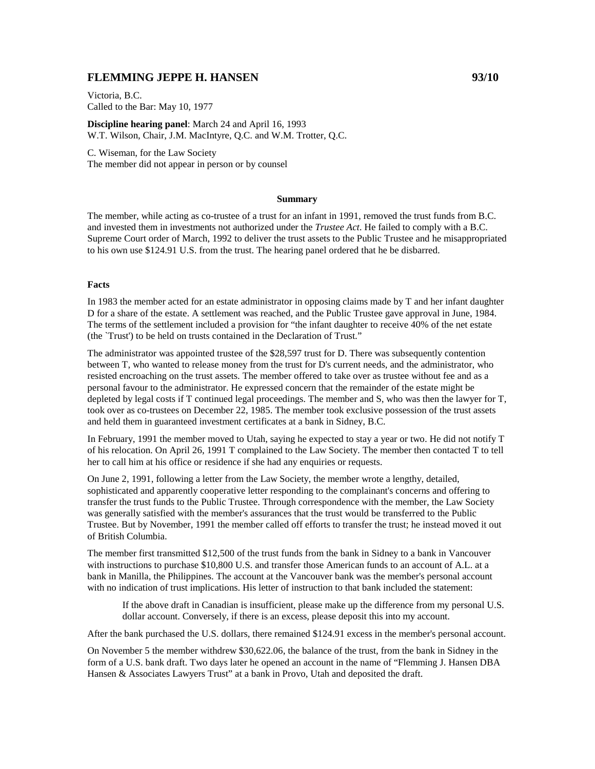# **FLEMMING JEPPE H. HANSEN 93/10**

Victoria, B.C. Called to the Bar: May 10, 1977

**Discipline hearing panel**: March 24 and April 16, 1993 W.T. Wilson, Chair, J.M. MacIntyre, Q.C. and W.M. Trotter, Q.C.

C. Wiseman, for the Law Society The member did not appear in person or by counsel

#### **Summary**

The member, while acting as co-trustee of a trust for an infant in 1991, removed the trust funds from B.C. and invested them in investments not authorized under the *Trustee Act*. He failed to comply with a B.C. Supreme Court order of March, 1992 to deliver the trust assets to the Public Trustee and he misappropriated to his own use \$124.91 U.S. from the trust. The hearing panel ordered that he be disbarred.

#### **Facts**

In 1983 the member acted for an estate administrator in opposing claims made by T and her infant daughter D for a share of the estate. A settlement was reached, and the Public Trustee gave approval in June, 1984. The terms of the settlement included a provision for "the infant daughter to receive 40% of the net estate (the `Trust') to be held on trusts contained in the Declaration of Trust."

The administrator was appointed trustee of the \$28,597 trust for D. There was subsequently contention between T, who wanted to release money from the trust for D's current needs, and the administrator, who resisted encroaching on the trust assets. The member offered to take over as trustee without fee and as a personal favour to the administrator. He expressed concern that the remainder of the estate might be depleted by legal costs if T continued legal proceedings. The member and S, who was then the lawyer for T, took over as co-trustees on December 22, 1985. The member took exclusive possession of the trust assets and held them in guaranteed investment certificates at a bank in Sidney, B.C.

In February, 1991 the member moved to Utah, saying he expected to stay a year or two. He did not notify T of his relocation. On April 26, 1991 T complained to the Law Society. The member then contacted T to tell her to call him at his office or residence if she had any enquiries or requests.

On June 2, 1991, following a letter from the Law Society, the member wrote a lengthy, detailed, sophisticated and apparently cooperative letter responding to the complainant's concerns and offering to transfer the trust funds to the Public Trustee. Through correspondence with the member, the Law Society was generally satisfied with the member's assurances that the trust would be transferred to the Public Trustee. But by November, 1991 the member called off efforts to transfer the trust; he instead moved it out of British Columbia.

The member first transmitted \$12,500 of the trust funds from the bank in Sidney to a bank in Vancouver with instructions to purchase \$10,800 U.S. and transfer those American funds to an account of A.L. at a bank in Manilla, the Philippines. The account at the Vancouver bank was the member's personal account with no indication of trust implications. His letter of instruction to that bank included the statement:

If the above draft in Canadian is insufficient, please make up the difference from my personal U.S. dollar account. Conversely, if there is an excess, please deposit this into my account.

After the bank purchased the U.S. dollars, there remained \$124.91 excess in the member's personal account.

On November 5 the member withdrew \$30,622.06, the balance of the trust, from the bank in Sidney in the form of a U.S. bank draft. Two days later he opened an account in the name of "Flemming J. Hansen DBA Hansen & Associates Lawyers Trust" at a bank in Provo, Utah and deposited the draft.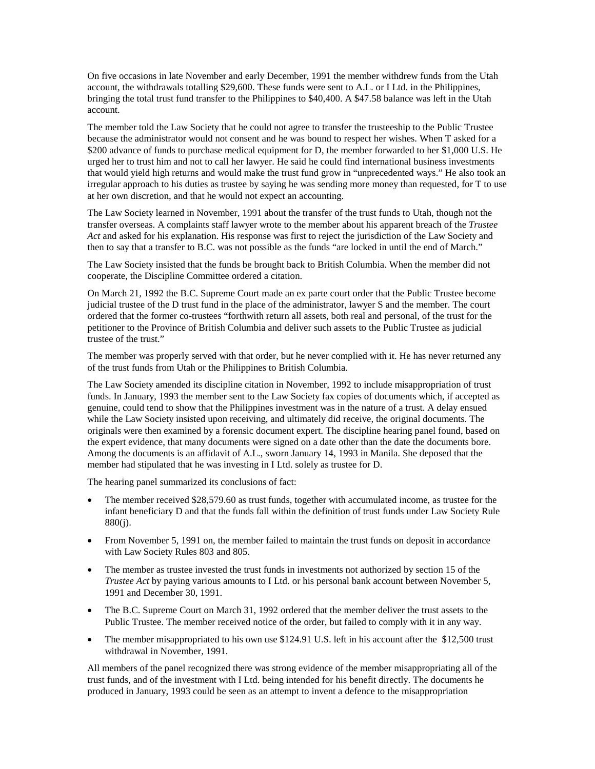On five occasions in late November and early December, 1991 the member withdrew funds from the Utah account, the withdrawals totalling \$29,600. These funds were sent to A.L. or I Ltd. in the Philippines, bringing the total trust fund transfer to the Philippines to \$40,400. A \$47.58 balance was left in the Utah account.

The member told the Law Society that he could not agree to transfer the trusteeship to the Public Trustee because the administrator would not consent and he was bound to respect her wishes. When T asked for a \$200 advance of funds to purchase medical equipment for D, the member forwarded to her \$1,000 U.S. He urged her to trust him and not to call her lawyer. He said he could find international business investments that would yield high returns and would make the trust fund grow in "unprecedented ways." He also took an irregular approach to his duties as trustee by saying he was sending more money than requested, for T to use at her own discretion, and that he would not expect an accounting.

The Law Society learned in November, 1991 about the transfer of the trust funds to Utah, though not the transfer overseas. A complaints staff lawyer wrote to the member about his apparent breach of the *Trustee Act* and asked for his explanation. His response was first to reject the jurisdiction of the Law Society and then to say that a transfer to B.C. was not possible as the funds "are locked in until the end of March."

The Law Society insisted that the funds be brought back to British Columbia. When the member did not cooperate, the Discipline Committee ordered a citation.

On March 21, 1992 the B.C. Supreme Court made an ex parte court order that the Public Trustee become judicial trustee of the D trust fund in the place of the administrator, lawyer S and the member. The court ordered that the former co-trustees "forthwith return all assets, both real and personal, of the trust for the petitioner to the Province of British Columbia and deliver such assets to the Public Trustee as judicial trustee of the trust."

The member was properly served with that order, but he never complied with it. He has never returned any of the trust funds from Utah or the Philippines to British Columbia.

The Law Society amended its discipline citation in November, 1992 to include misappropriation of trust funds. In January, 1993 the member sent to the Law Society fax copies of documents which, if accepted as genuine, could tend to show that the Philippines investment was in the nature of a trust. A delay ensued while the Law Society insisted upon receiving, and ultimately did receive, the original documents. The originals were then examined by a forensic document expert. The discipline hearing panel found, based on the expert evidence, that many documents were signed on a date other than the date the documents bore. Among the documents is an affidavit of A.L., sworn January 14, 1993 in Manila. She deposed that the member had stipulated that he was investing in I Ltd. solely as trustee for D.

The hearing panel summarized its conclusions of fact:

- The member received \$28,579.60 as trust funds, together with accumulated income, as trustee for the infant beneficiary D and that the funds fall within the definition of trust funds under Law Society Rule 880(j).
- From November 5, 1991 on, the member failed to maintain the trust funds on deposit in accordance with Law Society Rules 803 and 805.
- The member as trustee invested the trust funds in investments not authorized by section 15 of the *Trustee Act* by paying various amounts to I Ltd. or his personal bank account between November 5, 1991 and December 30, 1991.
- The B.C. Supreme Court on March 31, 1992 ordered that the member deliver the trust assets to the Public Trustee. The member received notice of the order, but failed to comply with it in any way.
- The member misappropriated to his own use \$124.91 U.S. left in his account after the \$12,500 trust withdrawal in November, 1991.

All members of the panel recognized there was strong evidence of the member misappropriating all of the trust funds, and of the investment with I Ltd. being intended for his benefit directly. The documents he produced in January, 1993 could be seen as an attempt to invent a defence to the misappropriation